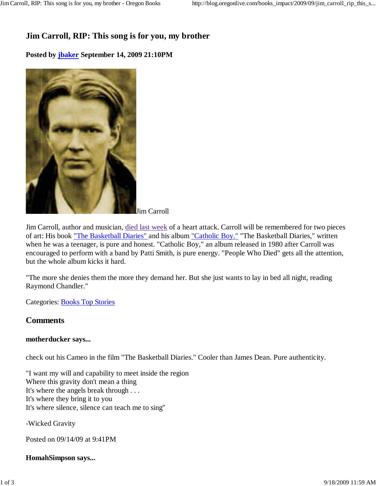# **Jim Carroll, RIP: This song is for you, my brother**

## **Posted by jbaker September 14, 2009 21:10PM**



Jim Carroll

Jim Carroll, author and musician, died last week of a heart attack. Carroll will be remembered for two pieces of art: His book "The Basketball Diaries" and his album "Catholic Boy." "The Basketball Diaries," written when he was a teenager, is pure and honest. "Catholic Boy," an album released in 1980 after Carroll was encouraged to perform with a band by Patti Smith, is pure energy. "People Who Died" gets all the attention, but the whole album kicks it hard.

"The more she denies them the more they demand her. But she just wants to lay in bed all night, reading Raymond Chandler."

Categories: Books Top Stories

## **Comments**

## **motherducker says...**

check out his Cameo in the film "The Basketball Diaries." Cooler than James Dean. Pure authenticity.

"I want my will and capability to meet inside the region Where this gravity don't mean a thing It's where the angels break through . . . It's where they bring it to you It's where silence, silence can teach me to sing"

-Wicked Gravity

Posted on 09/14/09 at 9:41PM

**HomahSimpson says...**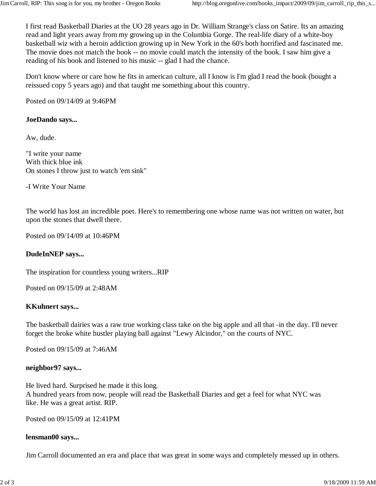I first read Basketball Diaries at the UO 28 years ago in Dr. William Strange's class on Satire. Its an amazing read and light years away from my growing up in the Columbia Gorge. The real-life diary of a white-boy basketball wiz with a heroin addiction growing up in New York in the 60's both horrified and fascinated me. The movie does not match the book -- no movie could match the intensity of the book. I saw him give a reading of his book and listened to his music -- glad I had the chance.

Don't know where or care how he fits in american culture, all I know is I'm glad I read the book (bought a reissued copy 5 years ago) and that taught me something about this country.

Posted on 09/14/09 at 9:46PM

### **JoeDando says...**

Aw, dude.

"I write your name With thick blue ink On stones I throw just to watch 'em sink"

-I Write Your Name

The world has lost an incredible poet. Here's to remembering one whose name was not written on water, but upon the stones that dwell there.

Posted on 09/14/09 at 10:46PM

#### **DudeInNEP says...**

The inspiration for countless young writers...RIP

Posted on 09/15/09 at 2:48AM

#### **KKuhnert says...**

The basketball dairies was a raw true working class take on the big apple and all that -in the day. I'll never forget the broke white hustler playing ball against "Lewy Alcindor," on the courts of NYC.

Posted on 09/15/09 at 7:46AM

#### **neighbor97 says...**

He lived hard. Surprised he made it this long. A hundred years from now, people will read the Basketball Diaries and get a feel for what NYC was like. He was a great artist. RIP.

Posted on 09/15/09 at 12:41PM

#### **lensman00 says...**

Jim Carroll documented an era and place that was great in some ways and completely messed up in others.